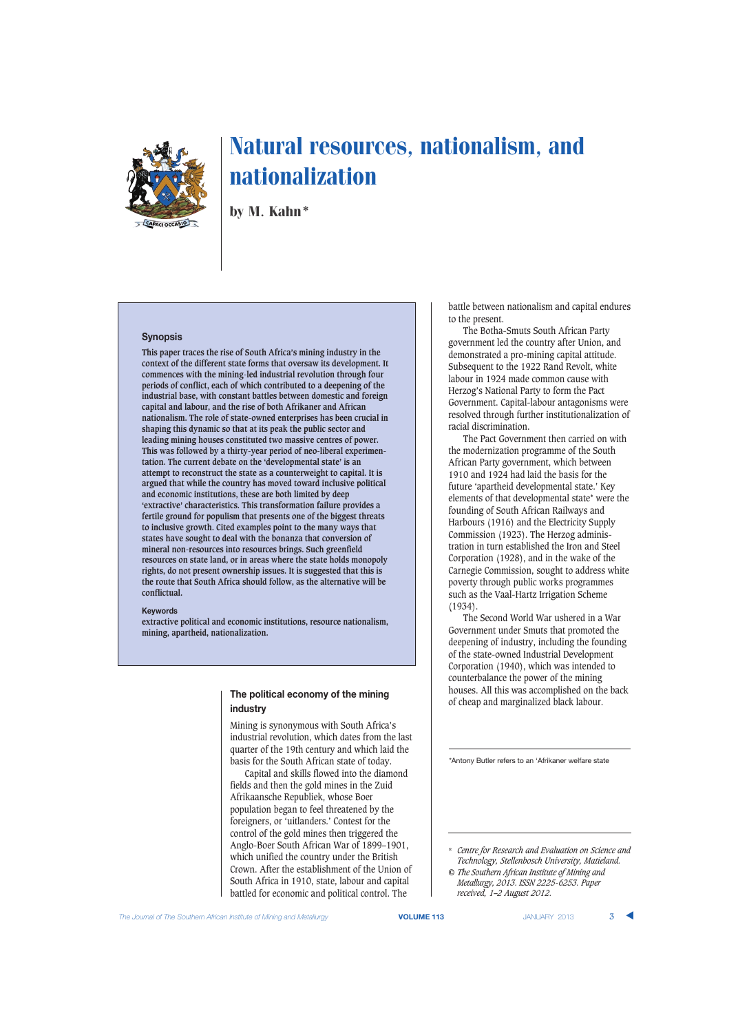

by M. Kahn\*

## **Synopsis**

**This paper traces the rise of South Africa's mining industry in the context of the different state forms that oversaw its development. It commences with the mining-led industrial revolution through four periods of conflict, each of which contributed to a deepening of the industrial base, with constant battles between domestic and foreign capital and labour, and the rise of both Afrikaner and African nationalism. The role of state-owned enterprises has been crucial in shaping this dynamic so that at its peak the public sector and leading mining houses constituted two massive centres of power. This was followed by a thirty-year period of neo-liberal experimentation. The current debate on the 'developmental state' is an attempt to reconstruct the state as a counterweight to capital. It is argued that while the country has moved toward inclusive political and economic institutions, these are both limited by deep 'extractive' characteristics. This transformation failure provides a fertile ground for populism that presents one of the biggest threats to inclusive growth. Cited examples point to the many ways that states have sought to deal with the bonanza that conversion of mineral non-resources into resources brings. Such greenfield resources on state land, or in areas where the state holds monopoly rights, do not present ownership issues. It is suggested that this is the route that South Africa should follow, as the alternative will be conflictual.**

#### **Keywords**

**extractive political and economic institutions, resource nationalism, mining, apartheid, nationalization.**

## **The political economy of the mining industry**

Mining is synonymous with South Africa's industrial revolution, which dates from the last quarter of the 19th century and which laid the basis for the South African state of today.

Capital and skills flowed into the diamond fields and then the gold mines in the Zuid Afrikaansche Republiek, whose Boer population began to feel threatened by the foreigners, or 'uitlanders.' Contest for the control of the gold mines then triggered the Anglo-Boer South African War of 1899–1901, which unified the country under the British Crown. After the establishment of the Union of South Africa in 1910, state, labour and capital battled for economic and political control. The

battle between nationalism and capital endures to the present.

The Botha-Smuts South African Party government led the country after Union, and demonstrated a pro-mining capital attitude. Subsequent to the 1922 Rand Revolt, white labour in 1924 made common cause with Herzog's National Party to form the Pact Government. Capital-labour antagonisms were resolved through further institutionalization of racial discrimination.

The Pact Government then carried on with the modernization programme of the South African Party government, which between 1910 and 1924 had laid the basis for the future 'apartheid developmental state.' Key elements of that developmental state\* were the founding of South African Railways and Harbours (1916) and the Electricity Supply Commission (1923). The Herzog administration in turn established the Iron and Steel Corporation (1928), and in the wake of the Carnegie Commission, sought to address white poverty through public works programmes such as the Vaal-Hartz Irrigation Scheme (1934).

The Second World War ushered in a War Government under Smuts that promoted the deepening of industry, including the founding of the state-owned Industrial Development Corporation (1940), which was intended to counterbalance the power of the mining houses. All this was accomplished on the back of cheap and marginalized black labour.

\*Antony Butler refers to an 'Afrikaner welfare state

\* *Centre for Research and Evaluation on Science and Technology, Stellenbosch University, Matieland.*

*<sup>©</sup> The Southern African Institute of Mining and Metallurgy, 2013. ISSN 2225-6253. Paper received, 1–2 August 2012.*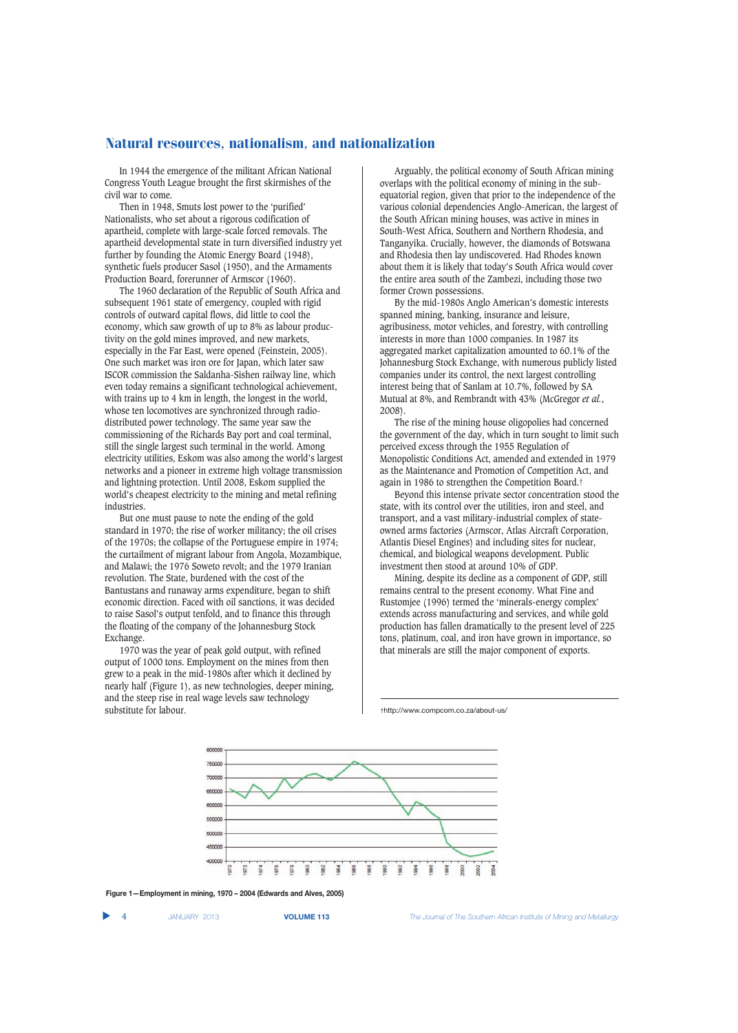In 1944 the emergence of the militant African National Congress Youth League brought the first skirmishes of the civil war to come.

Then in 1948, Smuts lost power to the 'purified' Nationalists, who set about a rigorous codification of apartheid, complete with large-scale forced removals. The apartheid developmental state in turn diversified industry yet further by founding the Atomic Energy Board (1948), synthetic fuels producer Sasol (1950), and the Armaments Production Board, forerunner of Armscor (1960).

The 1960 declaration of the Republic of South Africa and subsequent 1961 state of emergency, coupled with rigid controls of outward capital flows, did little to cool the economy, which saw growth of up to 8% as labour productivity on the gold mines improved, and new markets, especially in the Far East, were opened (Feinstein, 2005). One such market was iron ore for Japan, which later saw ISCOR commission the Saldanha-Sishen railway line, which even today remains a significant technological achievement, with trains up to 4 km in length, the longest in the world, whose ten locomotives are synchronized through radiodistributed power technology. The same year saw the commissioning of the Richards Bay port and coal terminal, still the single largest such terminal in the world. Among electricity utilities, Eskom was also among the world's largest networks and a pioneer in extreme high voltage transmission and lightning protection. Until 2008, Eskom supplied the world's cheapest electricity to the mining and metal refining industries.

But one must pause to note the ending of the gold standard in 1970; the rise of worker militancy; the oil crises of the 1970s; the collapse of the Portuguese empire in 1974; the curtailment of migrant labour from Angola, Mozambique, and Malawi; the 1976 Soweto revolt; and the 1979 Iranian revolution. The State, burdened with the cost of the Bantustans and runaway arms expenditure, began to shift economic direction. Faced with oil sanctions, it was decided to raise Sasol's output tenfold, and to finance this through the floating of the company of the Johannesburg Stock Exchange.

1970 was the year of peak gold output, with refined output of 1000 tons. Employment on the mines from then grew to a peak in the mid-1980s after which it declined by nearly half (Figure 1), as new technologies, deeper mining, and the steep rise in real wage levels saw technology substitute for labour.

Arguably, the political economy of South African mining overlaps with the political economy of mining in the subequatorial region, given that prior to the independence of the various colonial dependencies Anglo-American, the largest of the South African mining houses, was active in mines in South-West Africa, Southern and Northern Rhodesia, and Tanganyika. Crucially, however, the diamonds of Botswana and Rhodesia then lay undiscovered. Had Rhodes known about them it is likely that today's South Africa would cover the entire area south of the Zambezi, including those two former Crown possessions.

By the mid-1980s Anglo American's domestic interests spanned mining, banking, insurance and leisure, agribusiness, motor vehicles, and forestry, with controlling interests in more than 1000 companies. In 1987 its aggregated market capitalization amounted to 60.1% of the Johannesburg Stock Exchange, with numerous publicly listed companies under its control, the next largest controlling interest being that of Sanlam at 10.7%, followed by SA Mutual at 8%, and Rembrandt with 43% (McGregor *et al.*, 2008).

The rise of the mining house oligopolies had concerned the government of the day, which in turn sought to limit such perceived excess through the 1955 Regulation of Monopolistic Conditions Act, amended and extended in 1979 as the Maintenance and Promotion of Competition Act, and again in 1986 to strengthen the Competition Board.†

Beyond this intense private sector concentration stood the state, with its control over the utilities, iron and steel, and transport, and a vast military-industrial complex of stateowned arms factories (Armscor, Atlas Aircraft Corporation, Atlantis Diesel Engines) and including sites for nuclear, chemical, and biological weapons development. Public investment then stood at around 10% of GDP.

Mining, despite its decline as a component of GDP, still remains central to the present economy. What Fine and Rustomjee (1996) termed the 'minerals-energy complex' extends across manufacturing and services, and while gold production has fallen dramatically to the present level of 225 tons, platinum, coal, and iron have grown in importance, so that minerals are still the major component of exports.

†http://www.compcom.co.za/about-us/



**Figure 1—Employment in mining, 1970 – 2004 (Edwards and Alves, 2005)**

▲

4 JANUARY 2013 **VOLUME 113** *The Journal of The Southern African Institute of Mining and Metallurgy*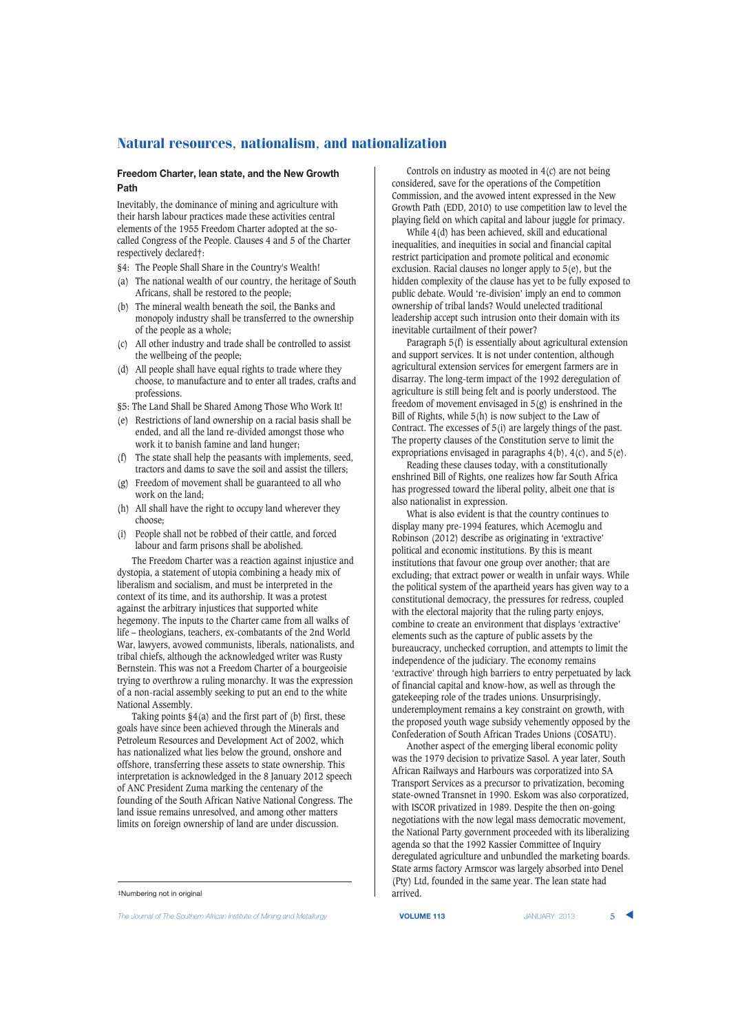### **Freedom Charter, lean state, and the New Growth Path**

Inevitably, the dominance of mining and agriculture with their harsh labour practices made these activities central elements of the 1955 Freedom Charter adopted at the socalled Congress of the People. Clauses 4 and 5 of the Charter respectively declared‡:

- §4: The People Shall Share in the Country's Wealth!
- (a) The national wealth of our country, the heritage of South Africans, shall be restored to the people;
- (b) The mineral wealth beneath the soil, the Banks and monopoly industry shall be transferred to the ownership of the people as a whole;
- (c) All other industry and trade shall be controlled to assist the wellbeing of the people;
- (d) All people shall have equal rights to trade where they choose, to manufacture and to enter all trades, crafts and professions.
- §5: The Land Shall be Shared Among Those Who Work It!
- (e) Restrictions of land ownership on a racial basis shall be ended, and all the land re-divided amongst those who work it to banish famine and land hunger;
- (f) The state shall help the peasants with implements, seed, tractors and dams to save the soil and assist the tillers;
- (g) Freedom of movement shall be guaranteed to all who work on the land;
- (h) All shall have the right to occupy land wherever they choose;
- (i) People shall not be robbed of their cattle, and forced labour and farm prisons shall be abolished.

The Freedom Charter was a reaction against injustice and dystopia, a statement of utopia combining a heady mix of liberalism and socialism, and must be interpreted in the context of its time, and its authorship. It was a protest against the arbitrary injustices that supported white hegemony. The inputs to the Charter came from all walks of life – theologians, teachers, ex-combatants of the 2nd World War, lawyers, avowed communists, liberals, nationalists, and tribal chiefs, although the acknowledged writer was Rusty Bernstein. This was not a Freedom Charter of a bourgeoisie trying to overthrow a ruling monarchy. It was the expression of a non-racial assembly seeking to put an end to the white National Assembly.

Taking points  $\S4(a)$  and the first part of (b) first, these goals have since been achieved through the Minerals and Petroleum Resources and Development Act of 2002, which has nationalized what lies below the ground, onshore and offshore, transferring these assets to state ownership. This interpretation is acknowledged in the 8 January 2012 speech of ANC President Zuma marking the centenary of the founding of the South African Native National Congress. The land issue remains unresolved, and among other matters limits on foreign ownership of land are under discussion.

*The Journal of The Southern African Institute of Mining and Metallurgy* **VOLUME 113** JANUARY 2013 5 ▲

Controls on industry as mooted in 4(c) are not being considered, save for the operations of the Competition Commission, and the avowed intent expressed in the New Growth Path (EDD, 2010) to use competition law to level the playing field on which capital and labour juggle for primacy.

While 4(d) has been achieved, skill and educational inequalities, and inequities in social and financial capital restrict participation and promote political and economic exclusion. Racial clauses no longer apply to 5(e), but the hidden complexity of the clause has yet to be fully exposed to public debate. Would 're-division' imply an end to common ownership of tribal lands? Would unelected traditional leadership accept such intrusion onto their domain with its inevitable curtailment of their power?

Paragraph 5(f) is essentially about agricultural extension and support services. It is not under contention, although agricultural extension services for emergent farmers are in disarray. The long-term impact of the 1992 deregulation of agriculture is still being felt and is poorly understood. The freedom of movement envisaged in 5(g) is enshrined in the Bill of Rights, while 5(h) is now subject to the Law of Contract. The excesses of 5(i) are largely things of the past. The property clauses of the Constitution serve to limit the expropriations envisaged in paragraphs 4(b), 4(c), and 5(e).

Reading these clauses today, with a constitutionally enshrined Bill of Rights, one realizes how far South Africa has progressed toward the liberal polity, albeit one that is also nationalist in expression.

What is also evident is that the country continues to display many pre-1994 features, which Acemoglu and Robinson (2012) describe as originating in 'extractive' political and economic institutions. By this is meant institutions that favour one group over another; that are excluding; that extract power or wealth in unfair ways. While the political system of the apartheid years has given way to a constitutional democracy, the pressures for redress, coupled with the electoral majority that the ruling party enjoys, combine to create an environment that displays 'extractive' elements such as the capture of public assets by the bureaucracy, unchecked corruption, and attempts to limit the independence of the judiciary. The economy remains 'extractive' through high barriers to entry perpetuated by lack of financial capital and know-how, as well as through the gatekeeping role of the trades unions. Unsurprisingly, underemployment remains a key constraint on growth, with the proposed youth wage subsidy vehemently opposed by the Confederation of South African Trades Unions (COSATU).

Another aspect of the emerging liberal economic polity was the 1979 decision to privatize Sasol. A year later, South African Railways and Harbours was corporatized into SA Transport Services as a precursor to privatization, becoming state-owned Transnet in 1990. Eskom was also corporatized, with ISCOR privatized in 1989. Despite the then on-going negotiations with the now legal mass democratic movement, the National Party government proceeded with its liberalizing agenda so that the 1992 Kassier Committee of Inquiry deregulated agriculture and unbundled the marketing boards. State arms factory Armscor was largely absorbed into Denel (Pty) Ltd, founded in the same year. The lean state had arrived.

<sup>‡</sup>Numbering not in original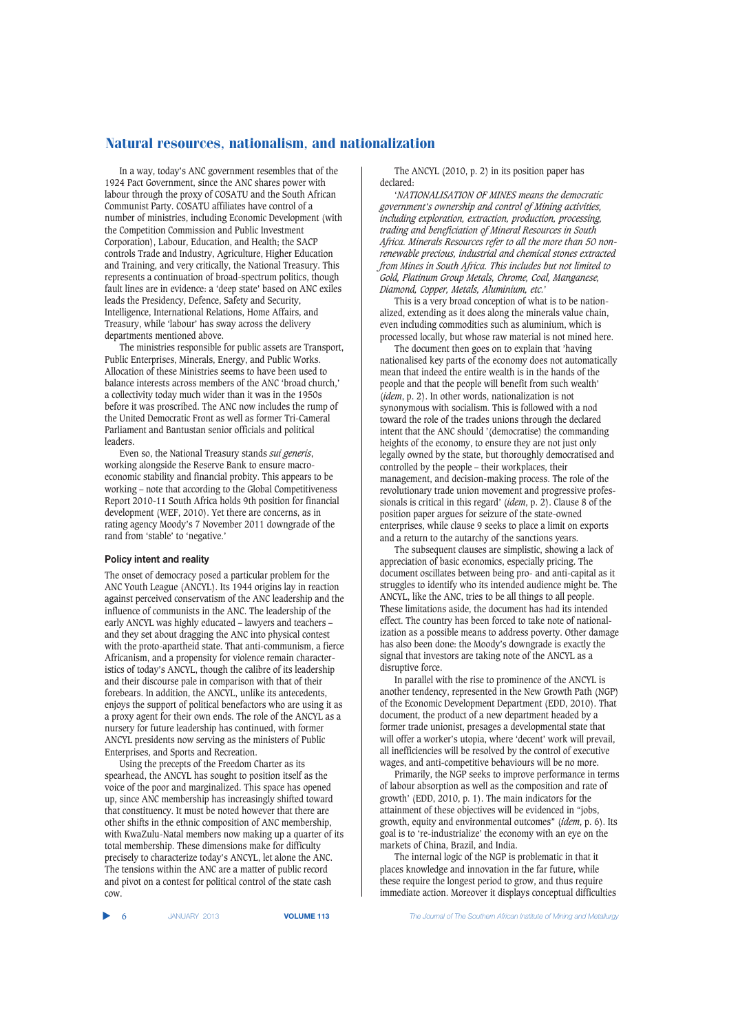In a way, today's ANC government resembles that of the 1924 Pact Government, since the ANC shares power with labour through the proxy of COSATU and the South African Communist Party. COSATU affiliates have control of a number of ministries, including Economic Development (with the Competition Commission and Public Investment Corporation), Labour, Education, and Health; the SACP controls Trade and Industry, Agriculture, Higher Education and Training, and very critically, the National Treasury. This represents a continuation of broad-spectrum politics, though fault lines are in evidence: a 'deep state' based on ANC exiles leads the Presidency, Defence, Safety and Security, Intelligence, International Relations, Home Affairs, and Treasury, while 'labour' has sway across the delivery departments mentioned above.

The ministries responsible for public assets are Transport, Public Enterprises, Minerals, Energy, and Public Works. Allocation of these Ministries seems to have been used to balance interests across members of the ANC 'broad church,' a collectivity today much wider than it was in the 1950s before it was proscribed. The ANC now includes the rump of the United Democratic Front as well as former Tri-Cameral Parliament and Bantustan senior officials and political leaders.

Even so, the National Treasury stands *sui generis*, working alongside the Reserve Bank to ensure macroeconomic stability and financial probity. This appears to be working – note that according to the Global Competitiveness Report 2010-11 South Africa holds 9th position for financial development (WEF, 2010). Yet there are concerns, as in rating agency Moody's 7 November 2011 downgrade of the rand from 'stable' to 'negative.'

#### **Policy intent and reality**

The onset of democracy posed a particular problem for the ANC Youth League (ANCYL). Its 1944 origins lay in reaction against perceived conservatism of the ANC leadership and the influence of communists in the ANC. The leadership of the early ANCYL was highly educated – lawyers and teachers – and they set about dragging the ANC into physical contest with the proto-apartheid state. That anti-communism, a fierce Africanism, and a propensity for violence remain characteristics of today's ANCYL, though the calibre of its leadership and their discourse pale in comparison with that of their forebears. In addition, the ANCYL, unlike its antecedents, enjoys the support of political benefactors who are using it as a proxy agent for their own ends. The role of the ANCYL as a nursery for future leadership has continued, with former ANCYL presidents now serving as the ministers of Public Enterprises, and Sports and Recreation.

Using the precepts of the Freedom Charter as its spearhead, the ANCYL has sought to position itself as the voice of the poor and marginalized. This space has opened up, since ANC membership has increasingly shifted toward that constituency. It must be noted however that there are other shifts in the ethnic composition of ANC membership, with KwaZulu-Natal members now making up a quarter of its total membership. These dimensions make for difficulty precisely to characterize today's ANCYL, let alone the ANC. The tensions within the ANC are a matter of public record and pivot on a contest for political control of the state cash cow.

The ANCYL (2010, p. 2) in its position paper has declared:

'*NATIONALISATION OF MINES means the democratic government's ownership and control of Mining activities, including exploration, extraction, production, processing, trading and beneficiation of Mineral Resources in South Africa. Minerals Resources refer to all the more than 50 nonrenewable precious, industrial and chemical stones extracted from Mines in South Africa. This includes but not limited to Gold, Platinum Group Metals, Chrome, Coal, Manganese, Diamond, Copper, Metals, Aluminium, etc.*'

This is a very broad conception of what is to be nationalized, extending as it does along the minerals value chain, even including commodities such as aluminium, which is processed locally, but whose raw material is not mined here.

The document then goes on to explain that 'having nationalised key parts of the economy does not automatically mean that indeed the entire wealth is in the hands of the people and that the people will benefit from such wealth' (*idem*, p. 2). In other words, nationalization is not synonymous with socialism. This is followed with a nod toward the role of the trades unions through the declared intent that the ANC should '(democratise) the commanding heights of the economy, to ensure they are not just only legally owned by the state, but thoroughly democratised and controlled by the people – their workplaces, their management, and decision-making process. The role of the revolutionary trade union movement and progressive professionals is critical in this regard' (*idem*, p. 2). Clause 8 of the position paper argues for seizure of the state-owned enterprises, while clause 9 seeks to place a limit on exports and a return to the autarchy of the sanctions years.

The subsequent clauses are simplistic, showing a lack of appreciation of basic economics, especially pricing. The document oscillates between being pro- and anti-capital as it struggles to identify who its intended audience might be. The ANCYL, like the ANC, tries to be all things to all people. These limitations aside, the document has had its intended effect. The country has been forced to take note of nationalization as a possible means to address poverty. Other damage has also been done: the Moody's downgrade is exactly the signal that investors are taking note of the ANCYL as a disruptive force.

In parallel with the rise to prominence of the ANCYL is another tendency, represented in the New Growth Path (NGP) of the Economic Development Department (EDD, 2010). That document, the product of a new department headed by a former trade unionist, presages a developmental state that will offer a worker's utopia, where 'decent' work will prevail, all inefficiencies will be resolved by the control of executive wages, and anti-competitive behaviours will be no more.

Primarily, the NGP seeks to improve performance in terms of labour absorption as well as the composition and rate of growth' (EDD, 2010, p. 1). The main indicators for the attainment of these objectives will be evidenced in "jobs, growth, equity and environmental outcomes" (*idem*, p. 6). Its goal is to 're-industrialize' the economy with an eye on the markets of China, Brazil, and India.

The internal logic of the NGP is problematic in that it places knowledge and innovation in the far future, while these require the longest period to grow, and thus require immediate action. Moreover it displays conceptual difficulties

▲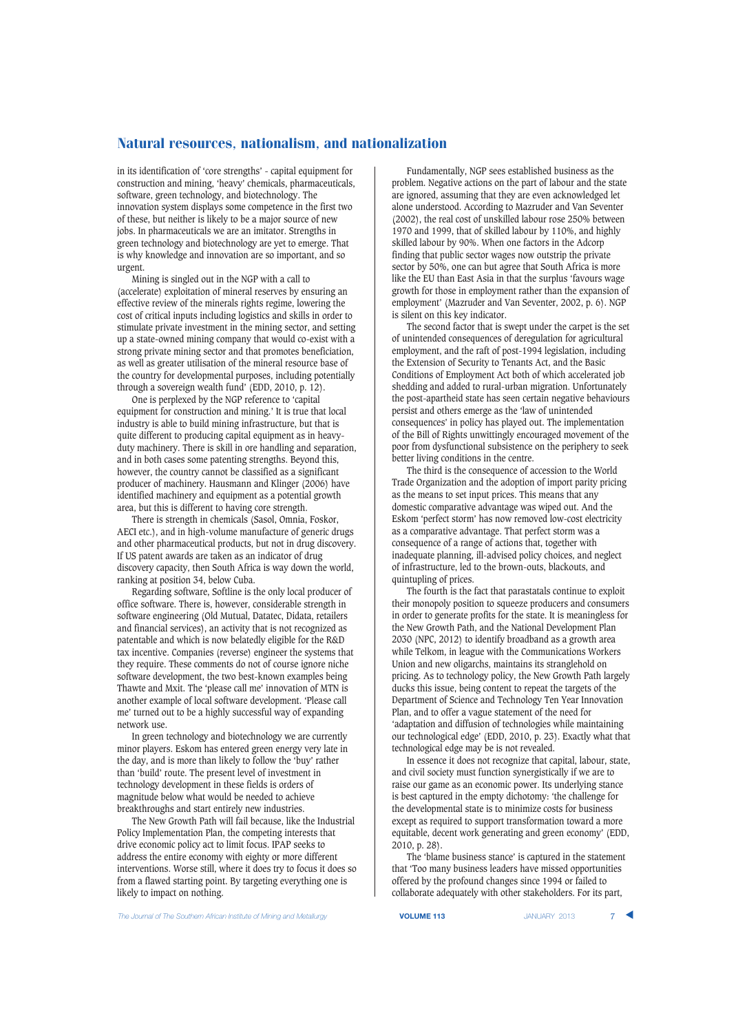in its identification of 'core strengths' - capital equipment for construction and mining, 'heavy' chemicals, pharmaceuticals, software, green technology, and biotechnology. The innovation system displays some competence in the first two of these, but neither is likely to be a major source of new jobs. In pharmaceuticals we are an imitator. Strengths in green technology and biotechnology are yet to emerge. That is why knowledge and innovation are so important, and so urgent.

Mining is singled out in the NGP with a call to (accelerate) exploitation of mineral reserves by ensuring an effective review of the minerals rights regime, lowering the cost of critical inputs including logistics and skills in order to stimulate private investment in the mining sector, and setting up a state-owned mining company that would co-exist with a strong private mining sector and that promotes beneficiation, as well as greater utilisation of the mineral resource base of the country for developmental purposes, including potentially through a sovereign wealth fund' (EDD, 2010, p. 12).

One is perplexed by the NGP reference to 'capital equipment for construction and mining.' It is true that local industry is able to build mining infrastructure, but that is quite different to producing capital equipment as in heavyduty machinery. There is skill in ore handling and separation, and in both cases some patenting strengths. Beyond this, however, the country cannot be classified as a significant producer of machinery. Hausmann and Klinger (2006) have identified machinery and equipment as a potential growth area, but this is different to having core strength.

There is strength in chemicals (Sasol, Omnia, Foskor, AECI etc.), and in high-volume manufacture of generic drugs and other pharmaceutical products, but not in drug discovery. If US patent awards are taken as an indicator of drug discovery capacity, then South Africa is way down the world, ranking at position 34, below Cuba.

Regarding software, Softline is the only local producer of office software. There is, however, considerable strength in software engineering (Old Mutual, Datatec, Didata, retailers and financial services), an activity that is not recognized as patentable and which is now belatedly eligible for the R&D tax incentive. Companies (reverse) engineer the systems that they require. These comments do not of course ignore niche software development, the two best-known examples being Thawte and Mxit. The 'please call me' innovation of MTN is another example of local software development. 'Please call me' turned out to be a highly successful way of expanding network use.

In green technology and biotechnology we are currently minor players. Eskom has entered green energy very late in the day, and is more than likely to follow the 'buy' rather than 'build' route. The present level of investment in technology development in these fields is orders of magnitude below what would be needed to achieve breakthroughs and start entirely new industries.

The New Growth Path will fail because, like the Industrial Policy Implementation Plan, the competing interests that drive economic policy act to limit focus. IPAP seeks to address the entire economy with eighty or more different interventions. Worse still, where it does try to focus it does so from a flawed starting point. By targeting everything one is likely to impact on nothing.

Fundamentally, NGP sees established business as the problem. Negative actions on the part of labour and the state are ignored, assuming that they are even acknowledged let alone understood. According to Mazruder and Van Seventer (2002), the real cost of unskilled labour rose 250% between 1970 and 1999, that of skilled labour by 110%, and highly skilled labour by 90%. When one factors in the Adcorp finding that public sector wages now outstrip the private sector by 50%, one can but agree that South Africa is more like the EU than East Asia in that the surplus 'favours wage growth for those in employment rather than the expansion of employment' (Mazruder and Van Seventer, 2002, p. 6). NGP is silent on this key indicator.

The second factor that is swept under the carpet is the set of unintended consequences of deregulation for agricultural employment, and the raft of post-1994 legislation, including the Extension of Security to Tenants Act, and the Basic Conditions of Employment Act both of which accelerated job shedding and added to rural-urban migration. Unfortunately the post-apartheid state has seen certain negative behaviours persist and others emerge as the 'law of unintended consequences' in policy has played out. The implementation of the Bill of Rights unwittingly encouraged movement of the poor from dysfunctional subsistence on the periphery to seek better living conditions in the centre.

The third is the consequence of accession to the World Trade Organization and the adoption of import parity pricing as the means to set input prices. This means that any domestic comparative advantage was wiped out. And the Eskom 'perfect storm' has now removed low-cost electricity as a comparative advantage. That perfect storm was a consequence of a range of actions that, together with inadequate planning, ill-advised policy choices, and neglect of infrastructure, led to the brown-outs, blackouts, and quintupling of prices.

The fourth is the fact that parastatals continue to exploit their monopoly position to squeeze producers and consumers in order to generate profits for the state. It is meaningless for the New Growth Path, and the National Development Plan 2030 (NPC, 2012) to identify broadband as a growth area while Telkom, in league with the Communications Workers Union and new oligarchs, maintains its stranglehold on pricing. As to technology policy, the New Growth Path largely ducks this issue, being content to repeat the targets of the Department of Science and Technology Ten Year Innovation Plan, and to offer a vague statement of the need for 'adaptation and diffusion of technologies while maintaining our technological edge' (EDD, 2010, p. 23). Exactly what that technological edge may be is not revealed.

In essence it does not recognize that capital, labour, state, and civil society must function synergistically if we are to raise our game as an economic power. Its underlying stance is best captured in the empty dichotomy: 'the challenge for the developmental state is to minimize costs for business except as required to support transformation toward a more equitable, decent work generating and green economy' (EDD, 2010, p. 28).

The 'blame business stance' is captured in the statement that 'Too many business leaders have missed opportunities offered by the profound changes since 1994 or failed to collaborate adequately with other stakeholders. For its part,

**The Journal of The Southern African Institute of Mining and Metallurgy <b>VOLUME 113 VOLUME 113** JANUARY 2013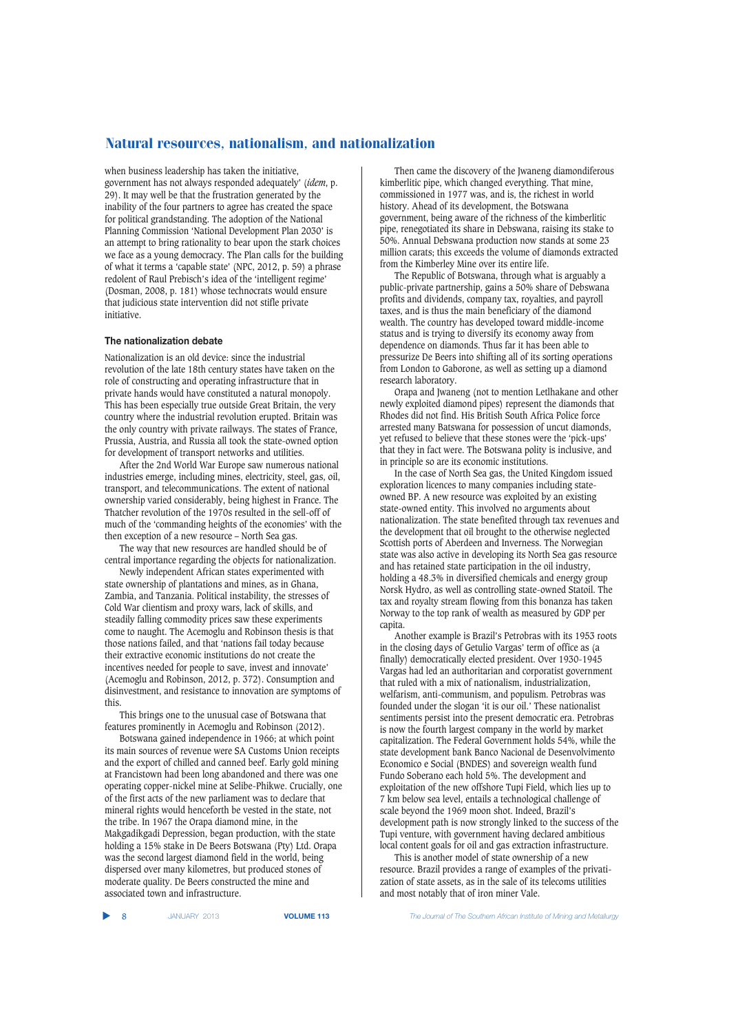when business leadership has taken the initiative, government has not always responded adequately' (*idem*, p. 29). It may well be that the frustration generated by the inability of the four partners to agree has created the space for political grandstanding. The adoption of the National Planning Commission 'National Development Plan 2030' is an attempt to bring rationality to bear upon the stark choices we face as a young democracy. The Plan calls for the building of what it terms a 'capable state' (NPC, 2012, p. 59) a phrase redolent of Raul Prebisch's idea of the 'intelligent regime' (Dosman, 2008, p. 181) whose technocrats would ensure that judicious state intervention did not stifle private initiative.

## **The nationalization debate**

Nationalization is an old device: since the industrial revolution of the late 18th century states have taken on the role of constructing and operating infrastructure that in private hands would have constituted a natural monopoly. This has been especially true outside Great Britain, the very country where the industrial revolution erupted. Britain was the only country with private railways. The states of France, Prussia, Austria, and Russia all took the state-owned option for development of transport networks and utilities.

After the 2nd World War Europe saw numerous national industries emerge, including mines, electricity, steel, gas, oil, transport, and telecommunications. The extent of national ownership varied considerably, being highest in France. The Thatcher revolution of the 1970s resulted in the sell-off of much of the 'commanding heights of the economies' with the then exception of a new resource – North Sea gas.

The way that new resources are handled should be of central importance regarding the objects for nationalization.

Newly independent African states experimented with state ownership of plantations and mines, as in Ghana, Zambia, and Tanzania. Political instability, the stresses of Cold War clientism and proxy wars, lack of skills, and steadily falling commodity prices saw these experiments come to naught. The Acemoglu and Robinson thesis is that those nations failed, and that 'nations fail today because their extractive economic institutions do not create the incentives needed for people to save, invest and innovate' (Acemoglu and Robinson, 2012, p. 372). Consumption and disinvestment, and resistance to innovation are symptoms of this.

This brings one to the unusual case of Botswana that features prominently in Acemoglu and Robinson (2012).

Botswana gained independence in 1966; at which point its main sources of revenue were SA Customs Union receipts and the export of chilled and canned beef. Early gold mining at Francistown had been long abandoned and there was one operating copper-nickel mine at Selibe-Phikwe. Crucially, one of the first acts of the new parliament was to declare that mineral rights would henceforth be vested in the state, not the tribe. In 1967 the Orapa diamond mine, in the Makgadikgadi Depression, began production, with the state holding a 15% stake in De Beers Botswana (Pty) Ltd. Orapa was the second largest diamond field in the world, being dispersed over many kilometres, but produced stones of moderate quality. De Beers constructed the mine and associated town and infrastructure.

Then came the discovery of the Jwaneng diamondiferous kimberlitic pipe, which changed everything. That mine, commissioned in 1977 was, and is, the richest in world history. Ahead of its development, the Botswana government, being aware of the richness of the kimberlitic pipe, renegotiated its share in Debswana, raising its stake to 50%. Annual Debswana production now stands at some 23 million carats; this exceeds the volume of diamonds extracted from the Kimberley Mine over its entire life.

The Republic of Botswana, through what is arguably a public-private partnership, gains a 50% share of Debswana profits and dividends, company tax, royalties, and payroll taxes, and is thus the main beneficiary of the diamond wealth. The country has developed toward middle-income status and is trying to diversify its economy away from dependence on diamonds. Thus far it has been able to pressurize De Beers into shifting all of its sorting operations from London to Gaborone, as well as setting up a diamond research laboratory.

Orapa and Jwaneng (not to mention Letlhakane and other newly exploited diamond pipes) represent the diamonds that Rhodes did not find. His British South Africa Police force arrested many Batswana for possession of uncut diamonds, yet refused to believe that these stones were the 'pick-ups' that they in fact were. The Botswana polity is inclusive, and in principle so are its economic institutions.

In the case of North Sea gas, the United Kingdom issued exploration licences to many companies including stateowned BP. A new resource was exploited by an existing state-owned entity. This involved no arguments about nationalization. The state benefited through tax revenues and the development that oil brought to the otherwise neglected Scottish ports of Aberdeen and Inverness. The Norwegian state was also active in developing its North Sea gas resource and has retained state participation in the oil industry, holding a 48.3% in diversified chemicals and energy group Norsk Hydro, as well as controlling state-owned Statoil. The tax and royalty stream flowing from this bonanza has taken Norway to the top rank of wealth as measured by GDP per capita.

Another example is Brazil's Petrobras with its 1953 roots in the closing days of Getulio Vargas' term of office as (a finally) democratically elected president. Over 1930-1945 Vargas had led an authoritarian and corporatist government that ruled with a mix of nationalism, industrialization, welfarism, anti-communism, and populism. Petrobras was founded under the slogan 'it is our oil.' These nationalist sentiments persist into the present democratic era. Petrobras is now the fourth largest company in the world by market capitalization. The Federal Government holds 54%, while the state development bank Banco Nacional de Desenvolvimento Economico e Social (BNDES) and sovereign wealth fund Fundo Soberano each hold 5%. The development and exploitation of the new offshore Tupi Field, which lies up to 7 km below sea level, entails a technological challenge of scale beyond the 1969 moon shot. Indeed, Brazil's development path is now strongly linked to the success of the Tupi venture, with government having declared ambitious local content goals for oil and gas extraction infrastructure.

This is another model of state ownership of a new resource. Brazil provides a range of examples of the privatization of state assets, as in the sale of its telecoms utilities and most notably that of iron miner Vale.